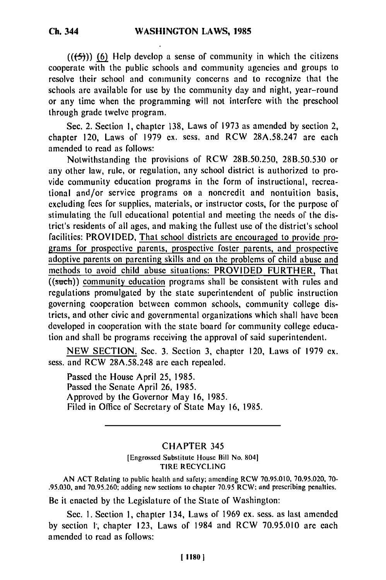**((-5))) (6) Help** develop a sense of community in which **the** citizens cooperate with the public schools and community agencies and groups to resolve their school and community concerns and to recognize that the schools are available for use **by** the community day and night, year-round or any time when the programming will not interfere with the preschool through grade twelve program.

Sec. 2. Section **1,** chapter **138,** Laws of **1973** as amended **by** section 2, chapter 120, Laws of **1979 ex.** scss. and RCW **28A.58.247** are each amended to read as follows:

Notwithstanding the provisions of RCW **28B.50.250, 28B.50.530** or any other law, rule, or regulation, any school district is authorized to provide community education programs in the form of instructional, recreational and/or service programs on a noncredit and nontuition basis, excluding fees for supplies, materials, or instructor costs, for the purpose of stimulating the full educational potential and meeting the needs of the district's residents of all ages, and making the fullest use of the district's school facilities: PROVIDED, That school districts are encouraged to provide programs for prospective parents, prospective foster parents, and prospective adoptive parents on parenting skills and on the problems of child abuse and methods to avoid child abuse situations: PROVIDED FURTHER, That ((such)) community education programs shall be consistent with rules and regulations promulgated **by** the state superintendent of public instruction governing cooperation between common schools, community college districts, and other civic and governmental organizations which shall have been developed in cooperation with the state board for community college education and shall be programs receiving the approval of said superintendent.

**NEW SECTION.** Sec. **3.** Section **3,** chapter 120, Laws of **1979 ex.** sess. and RCW **28A.58.248** are each repealed.

Passed the House April **25, 1985.** Passed the Senate April **26, 1985.** Approved **by** the Governor May **16, 1985.** Filed in Office of Secretary of State May **16, 1985.**

## CHAPTER 345

[Engrossed Substitute House Bill No. 804] TIRE **RECYCLING**

**AN ACT** Relating to public health and safety; amending RCW **70.95.010, 70.95.020, 70- .95.030,** and **70.95.260;** adding **new** sections to chapter **70.95** RCW; and prescribing penalties.

Be it enacted by the Legislature of the State of Washington:

Sec. **I.** Section **1,** chapter 134, Laws of **1969 ex.** sess. as last amended **by** section **1,** chapter **123,** Laws of 1984 and RCW **70.95.010** are each amended to read as follows: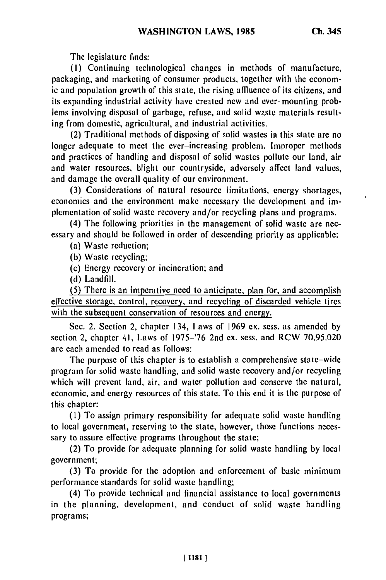The legislature finds:

**(I)** Continuing technological changes in methods of manufacture, packaging, and marketing of consumer products, together with the economic and population growth of this state, the rising affluence of its citizens, and its expanding industrial activity have created new and ever-mounting problems involving disposal of garbage, refuse, and solid waste materials resulting from domestic, agricultural, and industrial activities.

(2) Traditional methods of disposing of solid wastes in this state are no longer adequate to meet the ever-increasing problem. Improper methods and practices of handling and disposal of solid wastes pollute our land, air and water resources, blight our countryside, adversely affect land values, and damage the overall quality of our environment.

(3) Considerations of natural resource limitations, energy shortages, economics and the environment make necessary the development and implementation of solid waste recovery and/or recycling plans and programs.

(4) The following priorities in the management of solid waste are necessary and should be followed in order of descending priority as applicable:

(a) Waste reduction;

(b) Waste recycling;

(c) Energy recovery or incineration; and

(d) Landfill.

(5) There is an imperative need to anticipate, plan for, and accomplish effective storage, control, recovery, and recycling of discarded vehicle tires with the subsequent conservation of resources and energy.

Sec. 2. Section 2, chapter 134, laws of 1969 ex. sess. as amended by section 2, chapter 41, Laws of 1975-'76 2nd ex. sess. and RCW 70.95.020 are each amended to read as follows:

The purpose of this chapter is to establish a comprehensive state-wide program for solid waste handling, and solid waste recovery and/or recycling which will prevent land, air, and water pollution and conserve the natural, economic, and energy resources of this state. To this end it is the purpose of this chapter:

(I) To assign primary responsibility for adequate solid waste handling to local government, reserving to the state, however, those functions necessary to assure effective programs throughout the state;

(2) To provide for adequate planning for solid waste handling by local government;

(3) To provide for the adoption and enforcement of basic minimum performance standards for solid waste handling;

(4) To provide technical and financial assistance to local governments in the planning, development, and conduct of solid waste handling programs;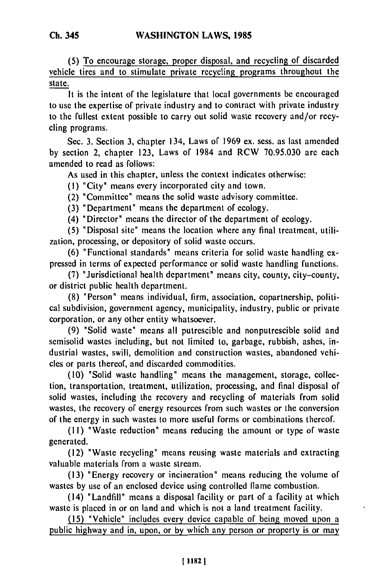**(5) To** encourage storage, proper disposal, and recycling of discarded vehicle tires and to stimulate private recycling programs throughout the state.

It is the intent of the legislature that local governments be encouraged to use the expertise of private industry and to contract with private industry to the fullest extent possible to carry out solid waste recovery and/or recycling programs.

Sec. 3. Section **3,** chapter 134, Laws of 1969 ex. sess. as last amended by section 2, chapter 123, Laws of 1984 and RCW 70.95.030 are each amended to read as follows:

As used in this chapter, unless the context indicates otherwise:

**(1)** "City" means every incorporated city and town.

(2) "Committee" means the solid waste advisory committee.

(3) "Department" means the department of ecology.

(4) "Director" means the director of the department of ecology.

(5) "Disposal site" means the location where any final treatment, utilization, processing, or depository of solid waste occurs.

(6) "Functional standards" means criteria for solid waste handling expressed in terms of expected performance or solid waste handling functions.

**(7)** "Jurisdictional health department" means city, county, city-county, or district public health department.

(8) "Person" means individual, firm, association, copartnership, political subdivision, government agency, municipality, industry, public or private corporation, or any other entity whatsoever.

(9) "Solid waste" means all putrescible and nonputrescible solid and semisolid wastes including, but not limited to, garbage, rubbish, ashes, industrial wastes, swill, demolition and construction wastes, abandoned vehicles or parts thereof, and discarded commodities.

(10) "Solid waste handling" means the management, storage, collection, transportation, treatment, utilization, processing, and final disposal of solid wastes, including the recovery and recycling of materials from solid wastes, the recovery of energy resources from such wastes or the conversion of the energy in such wastes to more useful forms or combinations thereof.

**(11)** "Waste reduction" means reducing the amount or type of waste generated.

(12) "Waste recycling" means reusing waste materials and extracting valuable materials from a waste stream.

(13) "Energy recovery or incineration" means reducing the volume of wastes by use of an enclosed device using controlled flame combustion.

(14) "Landfill" means a disposal facility or part of a facility at which waste is placed in or on land and which is not a land treatment facility.

**(15)** "Vehicle" includes every device capable of being moved upon a public highway and in, upon, or **by** which any person or property is or may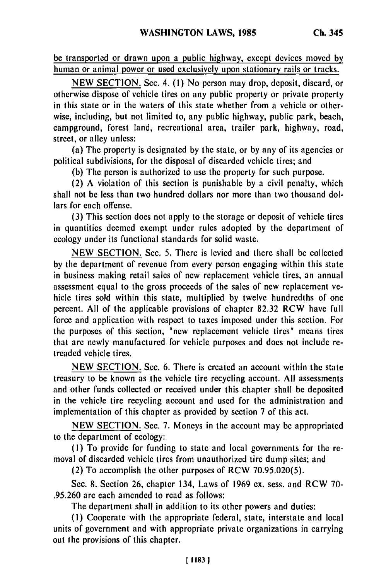be transported or drawn upon a public highway, except devices moved by human or animal power or used exclusively upon stationary rails or tracks.

NEW SECTION. Sec. 4. **(1)** No person may drop, deposit, discard, or otherwise dispose of vehicle tires on any public property or private property in this state or in the waters of this state whether from a vehicle or otherwise, including, but not limited to, any public highway, public park, beach, campground, forest land, recreational area, trailer park, highway, road, street, or alley unless:

(a) The property is designated by the state, or by any of its agencies or political subdivisions, for the disposal of discarded vehicle tires; and

(b) The person is authorized to use the property for such purpose.

(2) A violation of this section is punishable by a civil penalty, which shall not be less than two hundred dollars nor more than two thousand dollars for each offense.

(3) This section does not apply to the storage or deposit of vehicle tires in quantities deemed exempt under rules adopted by the department of ecology under its functional standards for solid waste.

NEW SECTION. Sec. 5. There is levied and there shall be collected by the department of revenue from every person engaging within this state in business making retail sales of new replacement vehicle tires, an annual assessment equal to the gross proceeds of the sales of new replacement vehicle tires sold within this state, multiplied by twelve hundredths of one percent. All of the applicable provisions of chapter 82.32 RCW have full force and application with respect to taxes imposed under this section. For the purposes of this section, "new replacement vehicle tires" means tires that are newly manufactured for vehicle purposes and does not include retreaded vehicle tires.

NEW SECTION. Sec. 6. There is created an account within the state treasury to be known as the vehicle tire recycling account. All assessments and other funds collected or received under this chapter shall be deposited in the vehicle tire recycling account and used for the administration and implementation of this chapter as provided by section 7 of this act.

NEW SECTION. Sec. 7. Moneys in the account may be appropriated to the department of ecology:

**(1)** To provide for funding to state and local governments for the removal of discarded vehicle tires from unauthorized tire dump sites; and

(2) To accomplish the other purposes of RCW 70.95.020(5).

Sec. 8. Section 26, chapter 134, Laws of 1969 ex. sess. and RCW 70- .95.260 are each amended to read as follows:

The department shall in addition to its other powers and duties:

(I) Cooperate with the appropriate federal, state, interstate and local units of government and with appropriate private organizations in carrying out the provisions of this chapter.